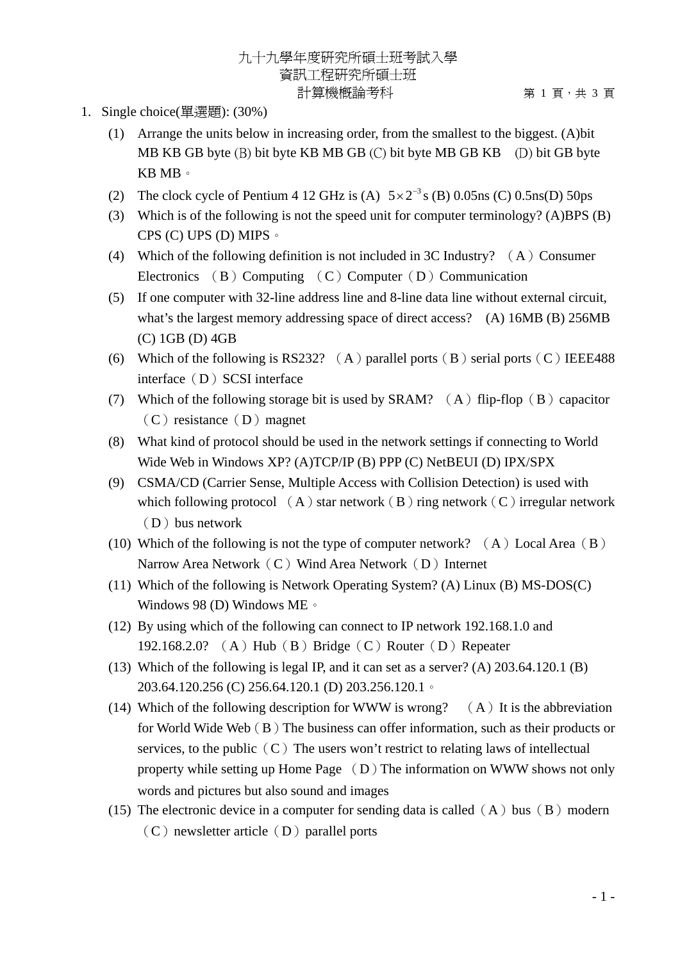## 九十九學年度研究所碩士班考試入學 資訊工程研究所碩士班 計算機概論考科 第 1 頁,共 3 頁

- 1. Single choice(單選題): (30%)
	- (1) Arrange the units below in increasing order, from the smallest to the biggest. (A)bit MB KB GB byte (B) bit byte KB MB GB (C) bit byte MB GB KB (D) bit GB byte KB MB。
	- (2) The clock cycle of Pentium 4 12 GHz is (A)  $5 \times 2^{-3}$  s (B) 0.05ns (C) 0.5ns(D) 50ps
	- (3) Which is of the following is not the speed unit for computer terminology? (A)BPS (B) CPS (C) UPS (D) MIPS。
	- (4) Which of the following definition is not included in 3C Industry?  $(A)$  Consumer Electronics (B) Computing (C) Computer (D) Communication
	- (5) If one computer with 32-line address line and 8-line data line without external circuit, what's the largest memory addressing space of direct access? (A) 16MB (B) 256MB (C) 1GB (D) 4GB
	- (6) Which of the following is RS232? (A) parallel ports (B) serial ports (C) IEEE488 interface (D) SCSI interface
	- (7) Which of the following storage bit is used by SRAM?  $(A)$  flip-flop  $(B)$  capacitor  $(C)$  resistance  $(D)$  magnet
	- (8) What kind of protocol should be used in the network settings if connecting to World Wide Web in Windows XP? (A)TCP/IP (B) PPP (C) NetBEUI (D) IPX/SPX
	- (9) CSMA/CD (Carrier Sense, Multiple Access with Collision Detection) is used with which following protocol  $(A)$  star network  $(B)$  ring network  $(C)$  irregular network  $(D)$  bus network
	- (10) Which of the following is not the type of computer network?  $(A)$  Local Area  $(B)$ Narrow Area Network $(C)$  Wind Area Network $(D)$  Internet
	- (11) Which of the following is Network Operating System? (A) Linux (B) MS-DOS(C) Windows 98 (D) Windows ME。
	- (12) By using which of the following can connect to IP network 192.168.1.0 and 192.168.2.0? (A) Hub(B) Bridge(C) Router(D) Repeater
	- (13) Which of the following is legal IP, and it can set as a server? (A) 203.64.120.1 (B) 203.64.120.256 (C) 256.64.120.1 (D) 203.256.120.1。
	- (14) Which of the following description for WWW is wrong?  $(A)$  It is the abbreviation for World Wide Web  $(B)$  The business can offer information, such as their products or services, to the public  $(C)$  The users won't restrict to relating laws of intellectual property while setting up Home Page  $(D)$  The information on WWW shows not only words and pictures but also sound and images
	- (15) The electronic device in a computer for sending data is called  $(A)$  bus  $(B)$  modern  $(C)$  newsletter article  $(D)$  parallel ports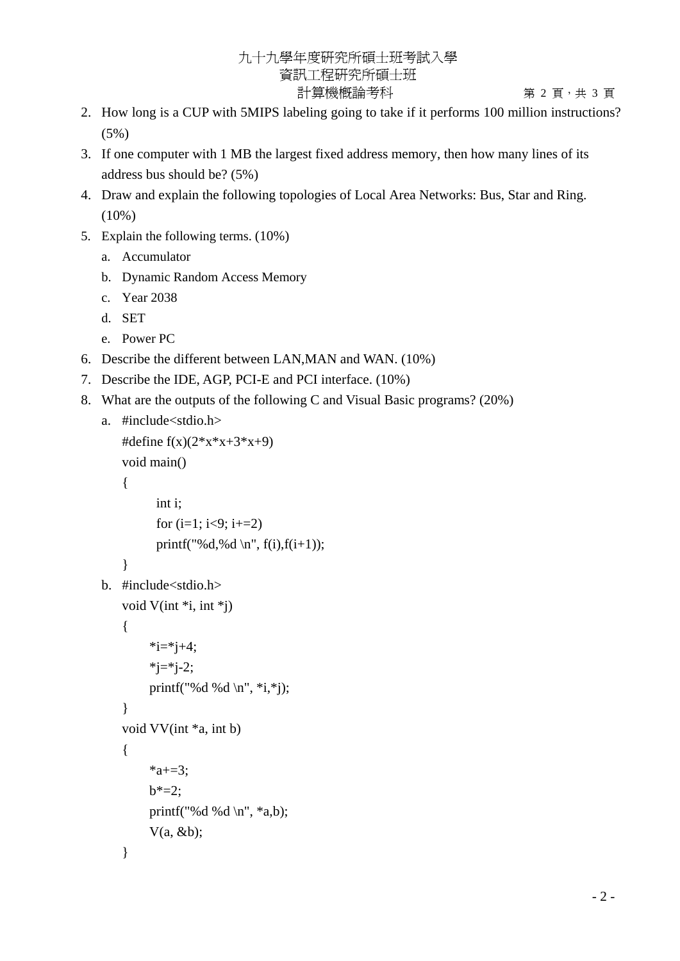## 九十九學年度研究所碩士班考試入學 資訊工程研究所碩士班 計算機概論考科 第 2 頁 · 共 3 頁

- 2. How long is a CUP with 5MIPS labeling going to take if it performs 100 million instructions? (5%)
- 3. If one computer with 1 MB the largest fixed address memory, then how many lines of its address bus should be? (5%)
- 4. Draw and explain the following topologies of Local Area Networks: Bus, Star and Ring. (10%)
- 5. Explain the following terms. (10%)
	- a. Accumulator
	- b. Dynamic Random Access Memory
	- c. Year 2038
	- d. SET
	- e. Power PC
- 6. Describe the different between LAN,MAN and WAN. (10%)
- 7. Describe the IDE, AGP, PCI-E and PCI interface. (10%)
- 8. What are the outputs of the following C and Visual Basic programs? (20%)

```
a. #include<stdio.h>
```

```
#define f(x)(2*x*x+3*x+9)void main() 
    { 
           int i; 
          for (i=1; i<9; i+=2)printf("%d,%d \n", f(i),f(i+1));
    } 
b. #include<stdio.h> 
   void V(int *i, int *j) 
    { 
         *i=*j+4;
         *j=*j-2;
          printf("%d %d \n", *i,*j); 
    } 
    void VV(int *a, int b) 
    { 
         *a+=3;
         b^* = 2;
         printf("%d %d \n", *a,b);
         V(a, \&b);}
```